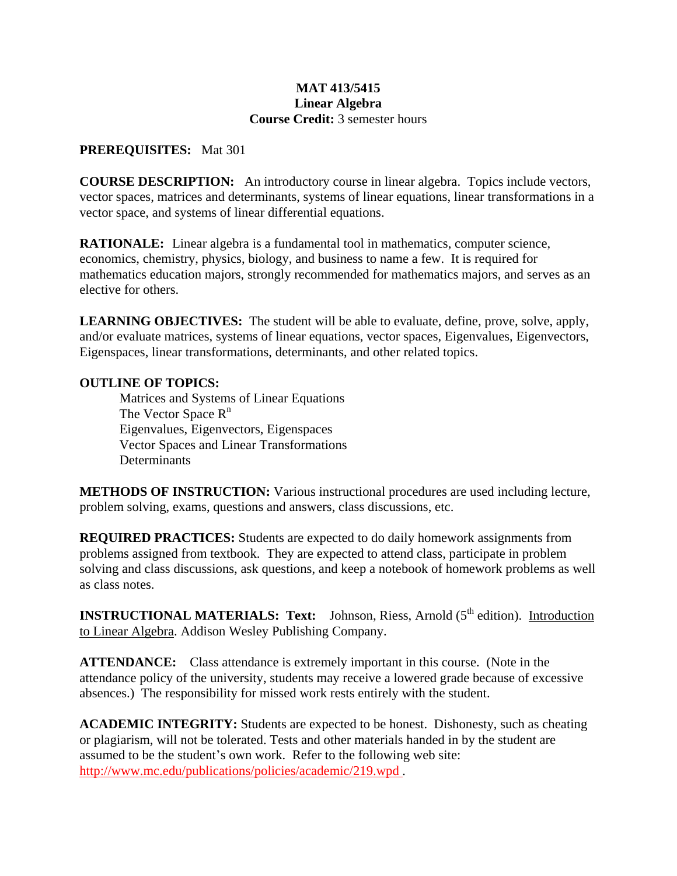#### **MAT 413/5415 Linear Algebra Course Credit:** 3 semester hours

### **PREREQUISITES:** Mat 301

**COURSE DESCRIPTION:** An introductory course in linear algebra. Topics include vectors, vector spaces, matrices and determinants, systems of linear equations, linear transformations in a vector space, and systems of linear differential equations.

**RATIONALE:** Linear algebra is a fundamental tool in mathematics, computer science, economics, chemistry, physics, biology, and business to name a few. It is required for mathematics education majors, strongly recommended for mathematics majors, and serves as an elective for others.

**LEARNING OBJECTIVES:** The student will be able to evaluate, define, prove, solve, apply, and/or evaluate matrices, systems of linear equations, vector spaces, Eigenvalues, Eigenvectors, Eigenspaces, linear transformations, determinants, and other related topics.

## **OUTLINE OF TOPICS:**

Matrices and Systems of Linear Equations The Vector Space  $R<sup>n</sup>$ Eigenvalues, Eigenvectors, Eigenspaces Vector Spaces and Linear Transformations **Determinants** 

**METHODS OF INSTRUCTION:** Various instructional procedures are used including lecture, problem solving, exams, questions and answers, class discussions, etc.

**REQUIRED PRACTICES:** Students are expected to do daily homework assignments from problems assigned from textbook. They are expected to attend class, participate in problem solving and class discussions, ask questions, and keep a notebook of homework problems as well as class notes.

**INSTRUCTIONAL MATERIALS: Text:** Johnson, Riess, Arnold (5<sup>th</sup> edition). Introduction to Linear Algebra. Addison Wesley Publishing Company.

**ATTENDANCE:**Class attendance is extremely important in this course. (Note in the attendance policy of the university, students may receive a lowered grade because of excessive absences.) The responsibility for missed work rests entirely with the student.

**ACADEMIC INTEGRITY:** Students are expected to be honest. Dishonesty, such as cheating or plagiarism, will not be tolerated. Tests and other materials handed in by the student are assumed to be the student's own work. Refer to the following web site: http://www.mc.edu/publications/policies/academic/219.wpd *.*